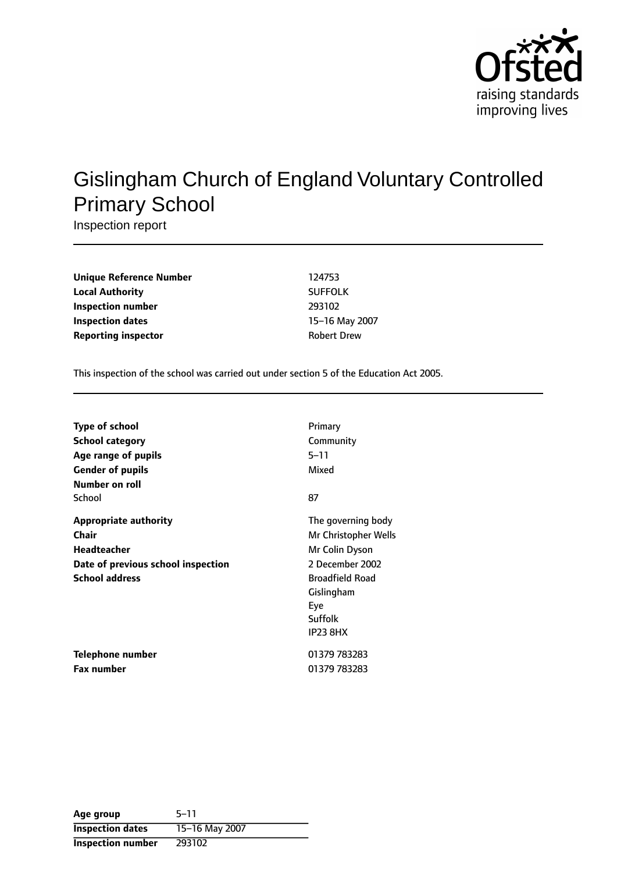

# Gislingham Church of England Voluntary Controlled Primary School

Inspection report

| <b>Unique Reference Number</b> | 124753             |
|--------------------------------|--------------------|
| <b>Local Authority</b>         | <b>SUFFOLK</b>     |
| Inspection number              | 293102             |
| Inspection dates               | 15-16 May 2        |
| <b>Reporting inspector</b>     | <b>Robert Drew</b> |

**Unique Reference Number** 124753 **Local Authority** SUFFOLK **Inspection number** 293102 **15-16 May 2007** 

This inspection of the school was carried out under section 5 of the Education Act 2005.

| <b>Type of school</b>              | Primary                |
|------------------------------------|------------------------|
| <b>School category</b>             | Community              |
| Age range of pupils                | $5 - 11$               |
| <b>Gender of pupils</b>            | Mixed                  |
| Number on roll                     |                        |
| School                             | 87                     |
| <b>Appropriate authority</b>       | The governing body     |
| Chair                              | Mr Christopher Wells   |
| <b>Headteacher</b>                 | Mr Colin Dyson         |
| Date of previous school inspection | 2 December 2002        |
| <b>School address</b>              | <b>Broadfield Road</b> |
|                                    | Gislingham             |
|                                    | Eye                    |
|                                    | Suffolk                |
|                                    | <b>IP23 8HX</b>        |
| Telephone number                   | 01379 783283           |
| <b>Fax number</b>                  | 01379 783283           |

| Age group                | $5 - 11$       |
|--------------------------|----------------|
| <b>Inspection dates</b>  | 15-16 May 2007 |
| <b>Inspection number</b> | 293102         |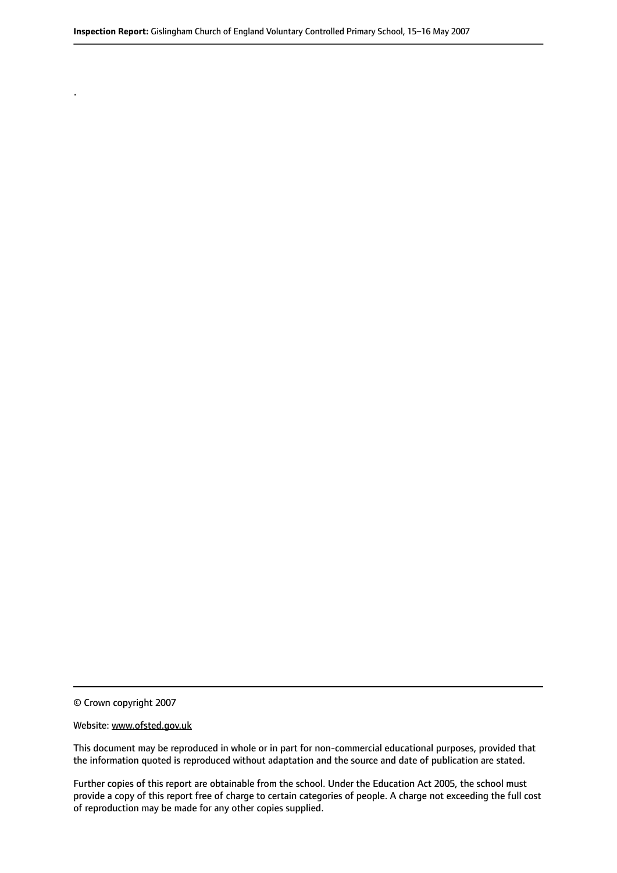© Crown copyright 2007

.

#### Website: www.ofsted.gov.uk

This document may be reproduced in whole or in part for non-commercial educational purposes, provided that the information quoted is reproduced without adaptation and the source and date of publication are stated.

Further copies of this report are obtainable from the school. Under the Education Act 2005, the school must provide a copy of this report free of charge to certain categories of people. A charge not exceeding the full cost of reproduction may be made for any other copies supplied.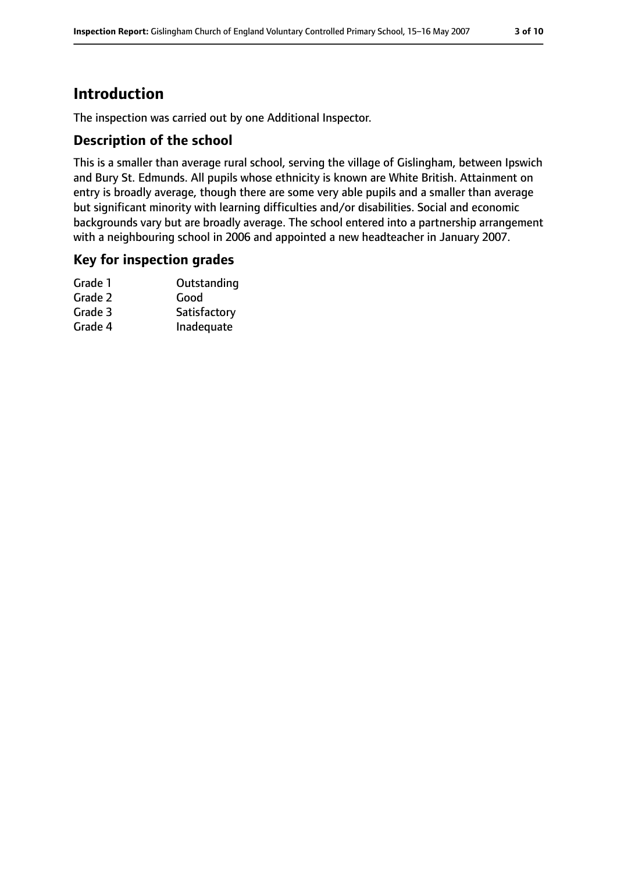# **Introduction**

The inspection was carried out by one Additional Inspector.

### **Description of the school**

This is a smaller than average rural school, serving the village of Gislingham, between Ipswich and Bury St. Edmunds. All pupils whose ethnicity is known are White British. Attainment on entry is broadly average, though there are some very able pupils and a smaller than average but significant minority with learning difficulties and/or disabilities. Social and economic backgrounds vary but are broadly average. The school entered into a partnership arrangement with a neighbouring school in 2006 and appointed a new headteacher in January 2007.

#### **Key for inspection grades**

| Grade 1 | Outstanding  |
|---------|--------------|
| Grade 2 | Good         |
| Grade 3 | Satisfactory |
| Grade 4 | Inadequate   |
|         |              |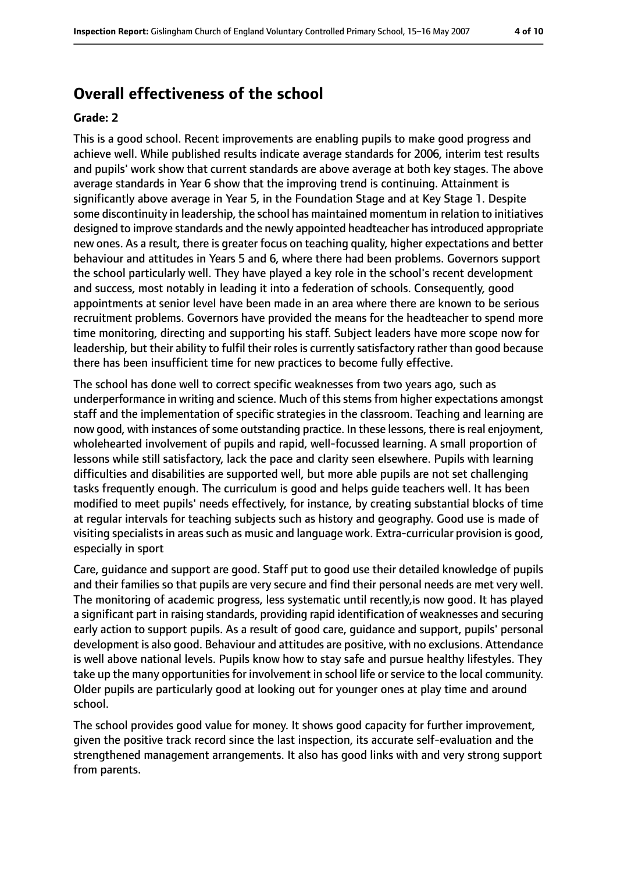# **Overall effectiveness of the school**

#### **Grade: 2**

This is a good school. Recent improvements are enabling pupils to make good progress and achieve well. While published results indicate average standards for 2006, interim test results and pupils' work show that current standards are above average at both key stages. The above average standards in Year 6 show that the improving trend is continuing. Attainment is significantly above average in Year 5, in the Foundation Stage and at Key Stage 1. Despite some discontinuity in leadership, the school has maintained momentum in relation to initiatives designed to improve standards and the newly appointed headteacher has introduced appropriate new ones. As a result, there is greater focus on teaching quality, higher expectations and better behaviour and attitudes in Years 5 and 6, where there had been problems. Governors support the school particularly well. They have played a key role in the school's recent development and success, most notably in leading it into a federation of schools. Consequently, good appointments at senior level have been made in an area where there are known to be serious recruitment problems. Governors have provided the means for the headteacher to spend more time monitoring, directing and supporting his staff. Subject leaders have more scope now for leadership, but their ability to fulfil their roles is currently satisfactory rather than good because there has been insufficient time for new practices to become fully effective.

The school has done well to correct specific weaknesses from two years ago, such as underperformance in writing and science. Much of this stems from higher expectations amongst staff and the implementation of specific strategies in the classroom. Teaching and learning are now good, with instances of some outstanding practice. In these lessons, there is real enjoyment, wholehearted involvement of pupils and rapid, well-focussed learning. A small proportion of lessons while still satisfactory, lack the pace and clarity seen elsewhere. Pupils with learning difficulties and disabilities are supported well, but more able pupils are not set challenging tasks frequently enough. The curriculum is good and helps guide teachers well. It has been modified to meet pupils' needs effectively, for instance, by creating substantial blocks of time at regular intervals for teaching subjects such as history and geography. Good use is made of visiting specialists in areas such as music and language work. Extra-curricular provision is good, especially in sport

Care, guidance and support are good. Staff put to good use their detailed knowledge of pupils and their families so that pupils are very secure and find their personal needs are met very well. The monitoring of academic progress, less systematic until recently,is now good. It has played a significant part in raising standards, providing rapid identification of weaknesses and securing early action to support pupils. As a result of good care, guidance and support, pupils' personal development is also good. Behaviour and attitudes are positive, with no exclusions. Attendance is well above national levels. Pupils know how to stay safe and pursue healthy lifestyles. They take up the many opportunities for involvement in school life or service to the local community. Older pupils are particularly good at looking out for younger ones at play time and around school.

The school provides good value for money. It shows good capacity for further improvement, given the positive track record since the last inspection, its accurate self-evaluation and the strengthened management arrangements. It also has good links with and very strong support from parents.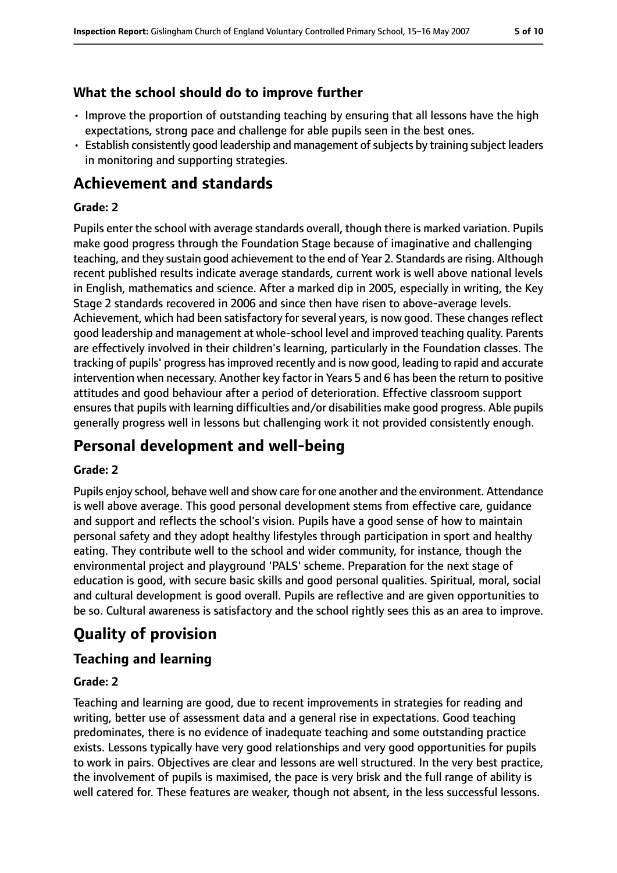### **What the school should do to improve further**

- Improve the proportion of outstanding teaching by ensuring that all lessons have the high expectations, strong pace and challenge for able pupils seen in the best ones.
- Establish consistently good leadership and management of subjects by training subject leaders in monitoring and supporting strategies.

# **Achievement and standards**

### **Grade: 2**

Pupils enter the school with average standards overall, though there is marked variation. Pupils make good progress through the Foundation Stage because of imaginative and challenging teaching, and they sustain good achievement to the end of Year 2. Standards are rising. Although recent published results indicate average standards, current work is well above national levels in English, mathematics and science. After a marked dip in 2005, especially in writing, the Key Stage 2 standards recovered in 2006 and since then have risen to above-average levels. Achievement, which had been satisfactory for several years, is now good. These changes reflect good leadership and management at whole-school level and improved teaching quality. Parents are effectively involved in their children's learning, particularly in the Foundation classes. The tracking of pupils' progress hasimproved recently and is now good, leading to rapid and accurate intervention when necessary. Another key factor in Years 5 and 6 has been the return to positive attitudes and good behaviour after a period of deterioration. Effective classroom support ensures that pupils with learning difficulties and/or disabilities make good progress. Able pupils generally progress well in lessons but challenging work it not provided consistently enough.

# **Personal development and well-being**

#### **Grade: 2**

Pupils enjoy school, behave well and show care for one another and the environment. Attendance is well above average. This good personal development stems from effective care, guidance and support and reflects the school's vision. Pupils have a good sense of how to maintain personal safety and they adopt healthy lifestyles through participation in sport and healthy eating. They contribute well to the school and wider community, for instance, though the environmental project and playground 'PALS' scheme. Preparation for the next stage of education is good, with secure basic skills and good personal qualities. Spiritual, moral, social and cultural development is good overall. Pupils are reflective and are given opportunities to be so. Cultural awareness is satisfactory and the school rightly sees this as an area to improve.

# **Quality of provision**

### **Teaching and learning**

#### **Grade: 2**

Teaching and learning are good, due to recent improvements in strategies for reading and writing, better use of assessment data and a general rise in expectations. Good teaching predominates, there is no evidence of inadequate teaching and some outstanding practice exists. Lessons typically have very good relationships and very good opportunities for pupils to work in pairs. Objectives are clear and lessons are well structured. In the very best practice, the involvement of pupils is maximised, the pace is very brisk and the full range of ability is well catered for. These features are weaker, though not absent, in the less successful lessons.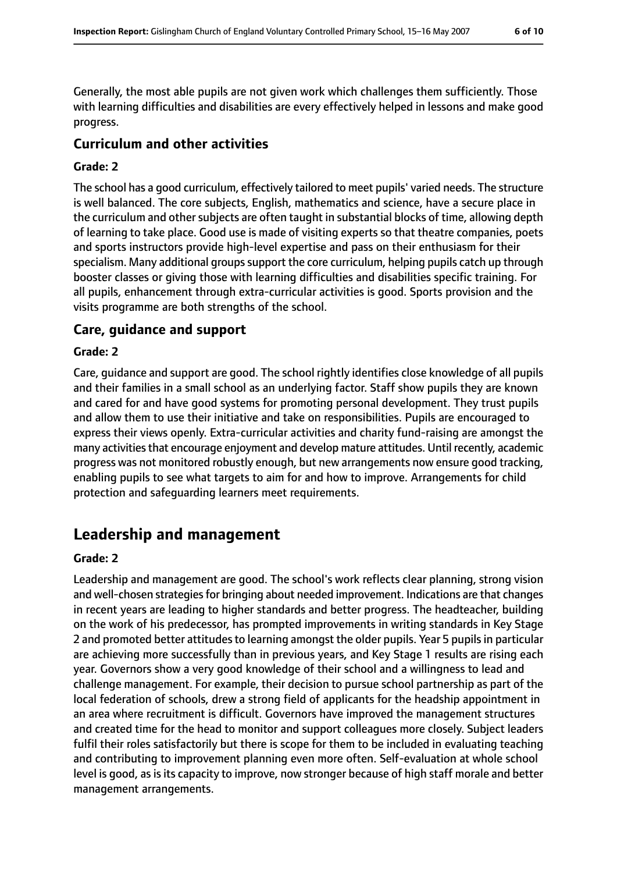Generally, the most able pupils are not given work which challenges them sufficiently. Those with learning difficulties and disabilities are every effectively helped in lessons and make good progress.

#### **Curriculum and other activities**

#### **Grade: 2**

The school has a good curriculum, effectively tailored to meet pupils' varied needs. The structure is well balanced. The core subjects, English, mathematics and science, have a secure place in the curriculum and other subjects are often taught in substantial blocks of time, allowing depth of learning to take place. Good use is made of visiting experts so that theatre companies, poets and sports instructors provide high-level expertise and pass on their enthusiasm for their specialism. Many additional groups support the core curriculum, helping pupils catch up through booster classes or giving those with learning difficulties and disabilities specific training. For all pupils, enhancement through extra-curricular activities is good. Sports provision and the visits programme are both strengths of the school.

#### **Care, guidance and support**

#### **Grade: 2**

Care, guidance and support are good. The school rightly identifies close knowledge of all pupils and their families in a small school as an underlying factor. Staff show pupils they are known and cared for and have good systems for promoting personal development. They trust pupils and allow them to use their initiative and take on responsibilities. Pupils are encouraged to express their views openly. Extra-curricular activities and charity fund-raising are amongst the many activities that encourage enjoyment and develop mature attitudes. Until recently, academic progress was not monitored robustly enough, but new arrangements now ensure good tracking, enabling pupils to see what targets to aim for and how to improve. Arrangements for child protection and safeguarding learners meet requirements.

### **Leadership and management**

#### **Grade: 2**

Leadership and management are good. The school's work reflects clear planning, strong vision and well-chosen strategies for bringing about needed improvement. Indications are that changes in recent years are leading to higher standards and better progress. The headteacher, building on the work of his predecessor, has prompted improvements in writing standards in Key Stage 2 and promoted better attitudes to learning amongst the older pupils. Year 5 pupils in particular are achieving more successfully than in previous years, and Key Stage 1 results are rising each year. Governors show a very good knowledge of their school and a willingness to lead and challenge management. For example, their decision to pursue school partnership as part of the local federation of schools, drew a strong field of applicants for the headship appointment in an area where recruitment is difficult. Governors have improved the management structures and created time for the head to monitor and support colleagues more closely. Subject leaders fulfil their roles satisfactorily but there is scope for them to be included in evaluating teaching and contributing to improvement planning even more often. Self-evaluation at whole school level is good, as is its capacity to improve, now stronger because of high staff morale and better management arrangements.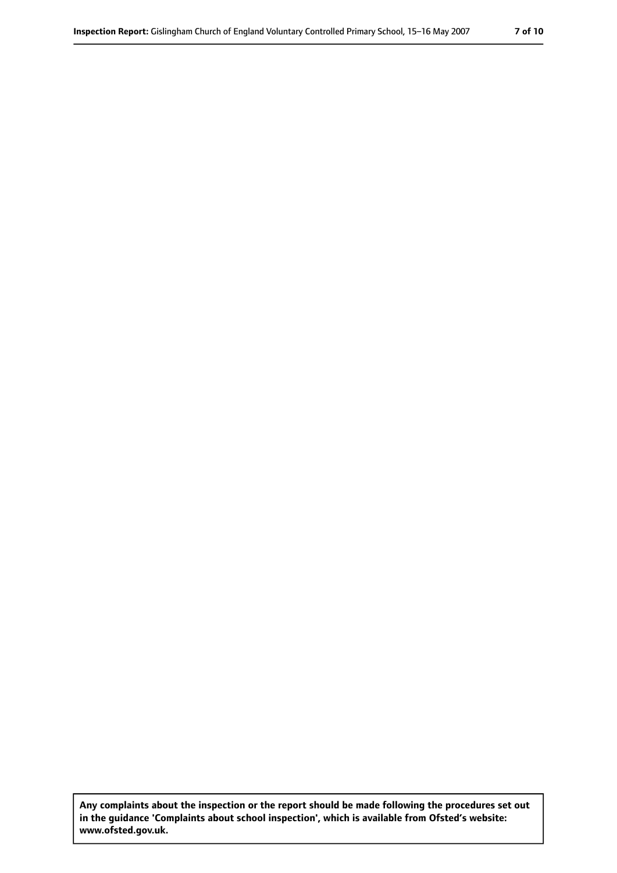**Any complaints about the inspection or the report should be made following the procedures set out in the guidance 'Complaints about school inspection', which is available from Ofsted's website: www.ofsted.gov.uk.**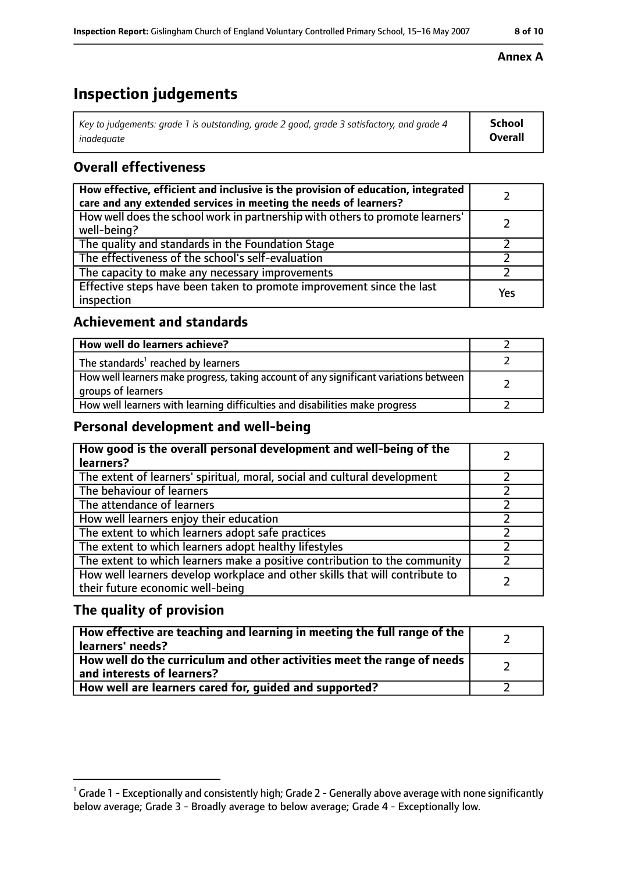# **Inspection judgements**

| $\mid$ Key to judgements: grade 1 is outstanding, grade 2 good, grade 3 satisfactory, and grade 4 | School         |
|---------------------------------------------------------------------------------------------------|----------------|
| inadeauate                                                                                        | <b>Overall</b> |

### **Overall effectiveness**

| How effective, efficient and inclusive is the provision of education, integrated<br>care and any extended services in meeting the needs of learners? |     |
|------------------------------------------------------------------------------------------------------------------------------------------------------|-----|
| How well does the school work in partnership with others to promote learners'<br>well-being?                                                         |     |
| The quality and standards in the Foundation Stage                                                                                                    |     |
| The effectiveness of the school's self-evaluation                                                                                                    |     |
| The capacity to make any necessary improvements                                                                                                      |     |
| Effective steps have been taken to promote improvement since the last<br>inspection                                                                  | Yes |

### **Achievement and standards**

| How well do learners achieve?                                                                               |  |
|-------------------------------------------------------------------------------------------------------------|--|
| The standards <sup>1</sup> reached by learners                                                              |  |
| How well learners make progress, taking account of any significant variations between<br>groups of learners |  |
| How well learners with learning difficulties and disabilities make progress                                 |  |

### **Personal development and well-being**

| How good is the overall personal development and well-being of the<br>learners?                                  |  |
|------------------------------------------------------------------------------------------------------------------|--|
| The extent of learners' spiritual, moral, social and cultural development                                        |  |
| The behaviour of learners                                                                                        |  |
| The attendance of learners                                                                                       |  |
| How well learners enjoy their education                                                                          |  |
| The extent to which learners adopt safe practices                                                                |  |
| The extent to which learners adopt healthy lifestyles                                                            |  |
| The extent to which learners make a positive contribution to the community                                       |  |
| How well learners develop workplace and other skills that will contribute to<br>their future economic well-being |  |

### **The quality of provision**

| How effective are teaching and learning in meeting the full range of the<br>learners' needs?          |  |
|-------------------------------------------------------------------------------------------------------|--|
| How well do the curriculum and other activities meet the range of needs<br>and interests of learners? |  |
| How well are learners cared for, guided and supported?                                                |  |

#### **Annex A**

 $^1$  Grade 1 - Exceptionally and consistently high; Grade 2 - Generally above average with none significantly below average; Grade 3 - Broadly average to below average; Grade 4 - Exceptionally low.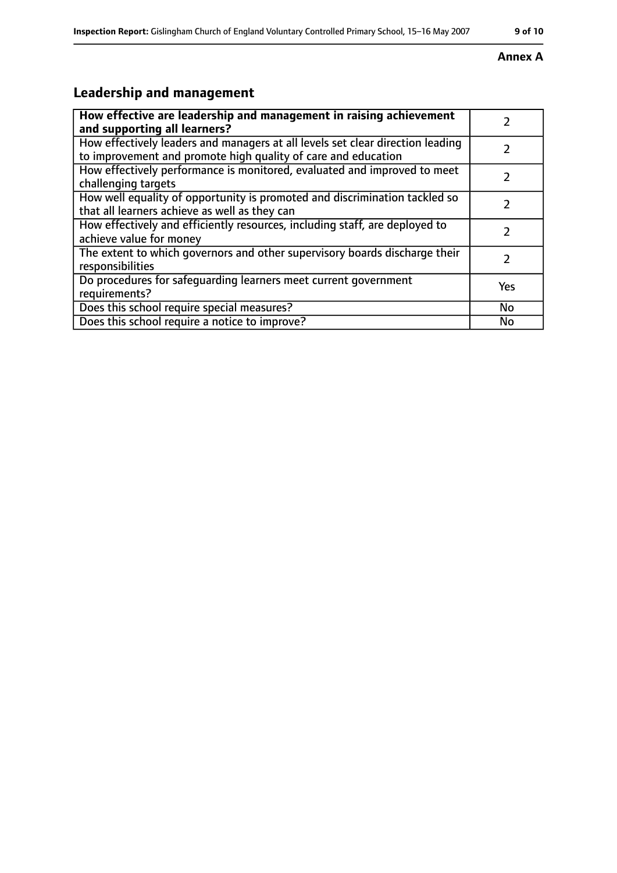#### **Inspection Report:** Gislingham Church of England Voluntary Controlled Primary School, 15-16 May 2007 9 of 10

#### **Annex A**

# **Leadership and management**

| How effective are leadership and management in raising achievement<br>and supporting all learners?                                              |     |
|-------------------------------------------------------------------------------------------------------------------------------------------------|-----|
| How effectively leaders and managers at all levels set clear direction leading<br>to improvement and promote high quality of care and education |     |
| How effectively performance is monitored, evaluated and improved to meet<br>challenging targets                                                 |     |
| How well equality of opportunity is promoted and discrimination tackled so<br>that all learners achieve as well as they can                     |     |
| How effectively and efficiently resources, including staff, are deployed to<br>achieve value for money                                          | 7   |
| The extent to which governors and other supervisory boards discharge their<br>responsibilities                                                  | 7   |
| Do procedures for safequarding learners meet current government<br>requirements?                                                                | Yes |
| Does this school require special measures?                                                                                                      | No  |
| Does this school require a notice to improve?                                                                                                   | No  |